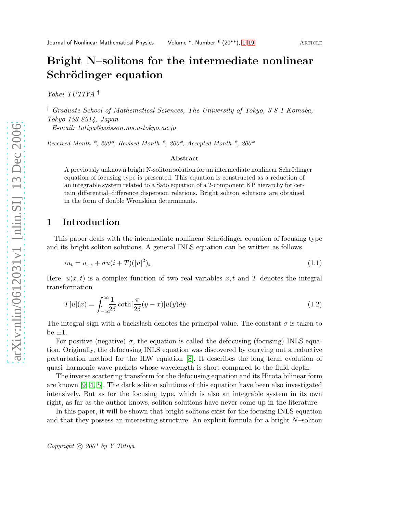# Bright N–solitons for the intermediate nonlinear Schrödinger equation

*Yohei TUTIYA* †

† *Graduate School of Mathematical Sciences, The University of Tokyo, 3-8-1 Komaba, Tokyo 153-8914, Japan E-mail: tutiya@poisson.ms.u-tokyo.ac.jp*

*Received Month \*, 200\*; Revised Month \*, 200\*; Accepted Month \*, 200\**

#### <span id="page-0-1"></span><span id="page-0-0"></span>Abstract

A previously unknown bright N-soliton solution for an intermediate nonlinear Schrödinger equation of focusing type is presented. This equation is constructed as a reduction of an integrable system related to a Sato equation of a 2-component KP hierarchy for certain differential–difference dispersion relations. Bright soliton solutions are obtained in the form of double Wronskian determinants.

#### 1 Introduction

This paper deals with the intermediate nonlinear Schrödinger equation of focusing type and its bright soliton solutions. A general INLS equation can be written as follows.

$$
iu_t = u_{xx} + \sigma u(i+T)(|u|^2)_x
$$
\n(1.1)

Here,  $u(x, t)$  is a complex function of two real variables x, t and T denotes the integral transformation

$$
T[u](x) = \int_{-\infty}^{\infty} \frac{1}{2\delta} \coth[\frac{\pi}{2\delta}(y-x)]u(y)dy.
$$
 (1.2)

The integral sign with a backslash denotes the principal value. The constant  $\sigma$  is taken to be  $\pm 1$ .

For positive (negative)  $\sigma$ , the equation is called the defocusing (focusing) INLS equation. Originally, the defocusing INLS equation was discovered by carrying out a reductive perturbation method for the ILW equation [\[8\]](#page-18-1). It describes the long–term evolution of quasi–harmonic wave packets whose wavelength is short compared to the fluid depth.

The inverse scattering transform for the defocusing equation and its Hirota bilinear form are known [\[9,](#page-18-2) [4,](#page-18-3) [5\]](#page-18-4). The dark soliton solutions of this equation have been also investigated intensively. But as for the focusing type, which is also an integrable system in its own right, as far as the author knows, soliton solutions have never come up in the literature.

In this paper, it will be shown that bright solitons exist for the focusing INLS equation and that they possess an interesting structure. An explicit formula for a bright N–soliton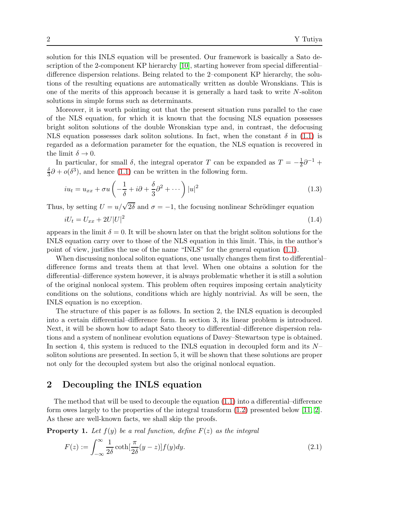solution for this INLS equation will be presented. Our framework is basically a Sato description of the 2-component KP hierarchy [\[10\]](#page-18-5), starting however from special differential– difference dispersion relations. Being related to the 2–component KP hierarchy, the solutions of the resulting equations are automatically written as double Wronskians. This is one of the merits of this approach because it is generally a hard task to write N-soliton solutions in simple forms such as determinants.

Moreover, it is worth pointing out that the present situation runs parallel to the case of the NLS equation, for which it is known that the focusing NLS equation possesses bright soliton solutions of the double Wronskian type and, in contrast, the defocusing NLS equation possesses dark soliton solutions. In fact, when the constant  $\delta$  in [\(1.1\)](#page-0-0) is regarded as a deformation parameter for the equation, the NLS equation is recovered in the limit  $\delta \to 0$ .

In particular, for small  $\delta$ , the integral operator T can be expanded as  $T = -\frac{1}{\delta}$  $\frac{1}{\delta}\partial^{-1}$  + δ  $\frac{\delta}{3}\partial + o(\delta^3)$ , and hence [\(1.1\)](#page-0-0) can be written in the following form.

$$
iu_t = u_{xx} + \sigma u \left( -\frac{1}{\delta} + i\partial + \frac{\delta}{3}\partial^2 + \cdots \right) |u|^2
$$
\n(1.3)

Thus, by setting  $U = u/\sqrt{2\delta}$  and  $\sigma = -1$ , the focusing nonlinear Schrödinger equation

$$
iU_t = U_{xx} + 2U|U|^2
$$
\n(1.4)

appears in the limit  $\delta = 0$ . It will be shown later on that the bright soliton solutions for the INLS equation carry over to those of the NLS equation in this limit. This, in the author's point of view, justifies the use of the name "INLS" for the general equation [\(1.1\)](#page-0-0).

When discussing nonlocal soliton equations, one usually changes them first to differential– difference forms and treats them at that level. When one obtains a solution for the differential–difference system however, it is always problematic whether it is still a solution of the original nonlocal system. This problem often requires imposing certain analyticity conditions on the solutions, conditions which are highly nontrivial. As will be seen, the INLS equation is no exception.

The structure of this paper is as follows. In section 2, the INLS equation is decoupled into a certain differential–difference form. In section 3, its linear problem is introduced. Next, it will be shown how to adapt Sato theory to differential–difference dispersion relations and a system of nonlinear evolution equations of Davey–Stewartson type is obtained. In section 4, this system is reduced to the INLS equation in decoupled form and its  $N$ soliton solutions are presented. In section 5, it will be shown that these solutions are proper not only for the decoupled system but also the original nonlocal equation.

### 2 Decoupling the INLS equation

The method that will be used to decouple the equation [\(1.1\)](#page-0-0) into a differential–difference form owes largely to the properties of the integral transform [\(1.2\)](#page-0-1) presented below [\[11,](#page-18-6) [2\]](#page-18-7). As these are well-known facts, we shall skip the proofs.

<span id="page-1-0"></span>Property 1. *Let* f(y) *be a real function, define* F(z) *as the integral*

$$
F(z) := \int_{-\infty}^{\infty} \frac{1}{2\delta} \coth\left[\frac{\pi}{2\delta}(y-z)\right] f(y) dy.
$$
 (2.1)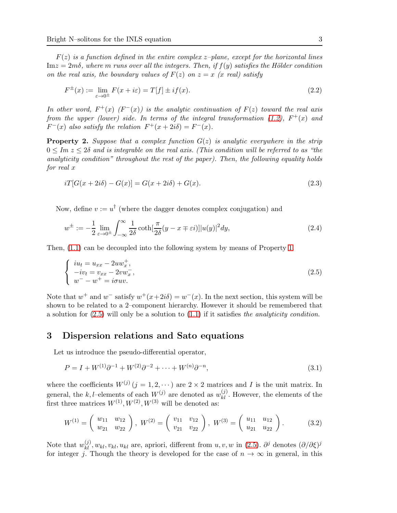F(z) *is a function defined in the entire complex* z*–plane, except for the horizontal lines*  $Im z = 2m\delta$ , where m runs over all the integers. Then, if  $f(y)$  satisfies the Hölder condition *on the real axis, the boundary values of*  $F(z)$  *on*  $z = x$  *(x real) satisfy* 

$$
F^{\pm}(x) := \lim_{\varepsilon \to 0^{\pm}} F(x + i\varepsilon) = T[f] \pm if(x). \tag{2.2}
$$

In other word,  $F^+(x)$   $(F^-(x))$  is the analytic continuation of  $F(z)$  toward the real axis *from the upper (lower) side. In terms of the integral transformation*  $(1.2)$ *,*  $F^+(x)$  *and*  $F^{-}(x)$  also satisfy the relation  $F^{+}(x+2i\delta) = F^{-}(x)$ .

<span id="page-2-2"></span>Property 2. *Suppose that a complex function* G(z) *is analytic everywhere in the strip*  $0 \leq Im \ z \leq 2\delta$  and is integrable on the real axis. (This condition will be referred to as "the *analyticity condition" throughout the rest of the paper). Then, the following equality holds for real* x

$$
i T[G(x + 2i\delta) - G(x)] = G(x + 2i\delta) + G(x).
$$
\n(2.3)

Now, define  $v := u^{\dagger}$  (where the dagger denotes complex conjugation) and

$$
w^{\pm} := -\frac{1}{2} \lim_{\varepsilon \to 0^{\pm}} \int_{-\infty}^{\infty} \frac{1}{2\delta} \coth[\frac{\pi}{2\delta}(y - x \mp \varepsilon i)] |u(y)|^2 dy,
$$
\n(2.4)

Then, [\(1.1\)](#page-0-0) can be decoupled into the following system by means of Property [1.](#page-1-0)

<span id="page-2-0"></span>
$$
\begin{cases}\n iu_t = u_{xx} - 2uw_x^+, \n -iv_t = v_{xx} - 2vw_x^-, \n w^- - w^+ = i\sigma uv.\n\end{cases}
$$
\n(2.5)

Note that  $w^+$  and  $w^-$  satisfy  $w^+(x+2i\delta) = w^-(x)$ . In the next section, this system will be shown to be related to a 2–component hierarchy. However it should be remembered that a solution for [\(2.5\)](#page-2-0) will only be a solution to [\(1.1\)](#page-0-0) if it satisfies *the analyticity condition*.

### 3 Dispersion relations and Sato equations

Let us introduce the pseudo-differential operator,

<span id="page-2-1"></span>
$$
P = I + W^{(1)}\partial^{-1} + W^{(2)}\partial^{-2} + \dots + W^{(n)}\partial^{-n},\tag{3.1}
$$

where the coefficients  $W^{(j)}(j=1,2,\dots)$  are  $2\times 2$  matrices and I is the unit matrix. In general, the k, l–elements of each  $W^{(j)}$  are denoted as  $w_{kl}^{(j)}$ . However, the elements of the first three matrices  $W^{(1)}$ ,  $W^{(2)}$ ,  $W^{(3)}$  will be denoted as:

$$
W^{(1)} = \left(\begin{array}{cc} w_{11} & w_{12} \\ w_{21} & w_{22} \end{array}\right), \ W^{(2)} = \left(\begin{array}{cc} v_{11} & v_{12} \\ v_{21} & v_{22} \end{array}\right), \ W^{(3)} = \left(\begin{array}{cc} u_{11} & u_{12} \\ u_{21} & u_{22} \end{array}\right). \tag{3.2}
$$

Note that  $w_{kl}^{(j)}$ ,  $w_{kl}$ ,  $v_{kl}$ ,  $u_{kl}$  are, apriori, different from  $u, v, w$  in [\(2.5\)](#page-2-0).  $\partial^j$  denotes  $(\partial/\partial \xi)^j$ for integer j. Though the theory is developed for the case of  $n \to \infty$  in general, in this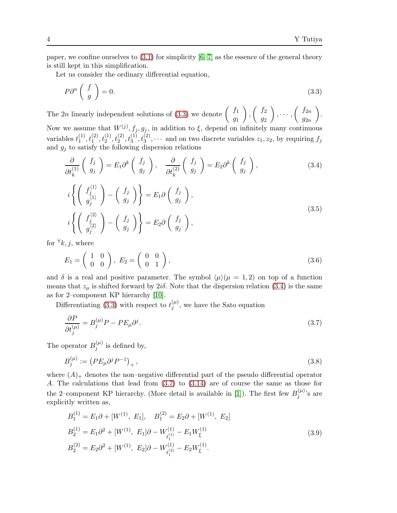paper, we confine ourselves to  $(3.1)$  for simplicity  $[6, 7]$  $[6, 7]$  as the essence of the general theory is still kept in this simplification.

Let us consider the ordinary differential equation,

<span id="page-3-0"></span>
$$
P\partial^n \left(\begin{array}{c} f \\ g \end{array}\right) = 0.\tag{3.3}
$$

The 2n linearly independent solutions of [\(3.3\)](#page-3-0) we denote  $\begin{pmatrix} f_1 \\ f_2 \end{pmatrix}$  $\overline{g_1}$  $\Big)$ ,  $\Big( \begin{array}{c} f_2 \end{array}$  $\overline{g_2}$  $\Bigg), \cdots, \Bigg( \begin{array}{c} f_{2n} \ g_{2n} \end{array}$  $g_{2n}$  . Now we assume that  $W^{(j)}$ ,  $f_j$ ,  $g_j$ , in addition to  $\xi$ , depend on infinitely many continuous

variables  $t_1^{(1)}$  $(1, t_1^{(2)}, t_2^{(1)}, t_2^{(2)}, t_3^{(1)}, t_3^{(2)}, \cdots$  and on two discrete variables  $z_1, z_2$ , by requiring  $f_j$ and  $g_j$  to satisfy the following dispersion relations

<span id="page-3-1"></span>
$$
\frac{\partial}{\partial t_k^{(1)}} \left( \begin{array}{c} f_j \\ g_j \end{array} \right) = E_1 \partial^k \left( \begin{array}{c} f_j \\ g_j \end{array} \right), \quad \frac{\partial}{\partial t_k^{(2)}} \left( \begin{array}{c} f_j \\ g_j \end{array} \right) = E_2 \partial^k \left( \begin{array}{c} f_j \\ g_j \end{array} \right),\tag{3.4}
$$

$$
i\left\{ \begin{pmatrix} f_j^{(1)} \\ g_j^{(1)} \end{pmatrix} - \begin{pmatrix} f_j \\ g_j \end{pmatrix} \right\} = E_1 \partial \begin{pmatrix} f_j \\ g_j \end{pmatrix},
$$
  

$$
i\left\{ \begin{pmatrix} f_j^{(2)} \\ g_j^{(2)} \end{pmatrix} - \begin{pmatrix} f_j \\ g_j \end{pmatrix} \right\} = E_2 \partial \begin{pmatrix} f_j \\ g_j \end{pmatrix},
$$
 (3.5)

for  $\forall k, j$ , where

$$
E_1 = \left(\begin{array}{cc} 1 & 0 \\ 0 & 0 \end{array}\right), \ E_2 = \left(\begin{array}{cc} 0 & 0 \\ 0 & 1 \end{array}\right), \tag{3.6}
$$

and  $\delta$  is a real and positive parameter. The symbol  $\langle \mu \rangle (\mu = 1, 2)$  on top of a function means that  $z_{\mu}$  is shifted forward by  $2i\delta$ . Note that the dispersion relation [\(3.4\)](#page-3-1) is the same as for 2–component KP hierarchy [\[10\]](#page-18-5).

Differentiating [\(3.3\)](#page-3-0) with respect to  $t_i^{(\mu)}$  $j^{\mu}$ , we have the Sato equation

<span id="page-3-2"></span>
$$
\frac{\partial P}{\partial t_j^{(\mu)}} = B_j^{(\mu)} P - P E_{\mu} \partial^j. \tag{3.7}
$$

The operator  $B_i^{(\mu)}$  $j^{\mu}$  is defined by,

$$
B_j^{(\mu)} := (PE_{\mu} \partial^j P^{-1})_+, \tag{3.8}
$$

where  $(A)$  denotes the non-negative differential part of the pseudo differential operator A. The calculations that lead from [\(3.7\)](#page-3-2) to [\(3.14\)](#page-4-0) are of course the same as those for the 2–component KP hierarchy. (More detail is available in [\[1\]](#page-18-10)). The first few  $B_i^{(\mu)}$  $j^{\mu}$ 's are explicitly written as,

$$
B_1^{(1)} = E_1 \partial + [W^{(1)}, E_1], \quad B_1^{(2)} = E_2 \partial + [W^{(1)}, E_2]
$$
  
\n
$$
B_2^{(1)} = E_1 \partial^2 + [W^{(1)}, E_1] \partial - W_{t_1^{(1)}}^{(1)} - E_1 W_{\xi}^{(1)}
$$
  
\n
$$
B_2^{(2)} = E_2 \partial^2 + [W^{(1)}, E_2] \partial - W_{t_1^{(2)}}^{(1)} - E_2 W_{\xi}^{(1)}.
$$
\n(3.9)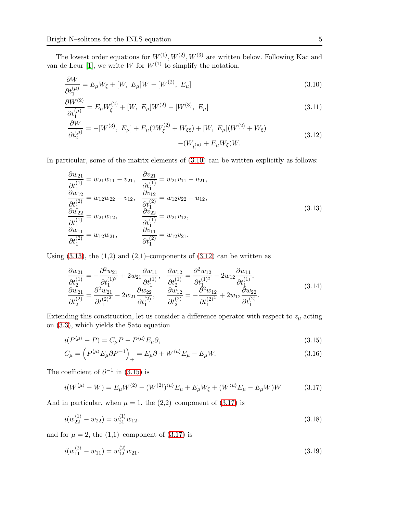The lowest order equations for  $W^{(1)}$ ,  $W^{(2)}$ ,  $W^{(3)}$  are written below. Following Kac and van de Leur [\[1\]](#page-18-10), we write W for  $W^{(1)}$  to simplify the notation.

<span id="page-4-1"></span>
$$
\frac{\partial W}{\partial t_1^{(\mu)}} = E_{\mu} W_{\xi} + [W, E_{\mu}] W - [W^{(2)}, E_{\mu}] \tag{3.10}
$$

$$
\frac{\partial W^{(2)}}{\partial t_1^{(\mu)}} = E_{\mu} W_{\xi}^{(2)} + [W, E_{\mu}] W^{(2)} - [W^{(3)}, E_{\mu}] \tag{3.11}
$$

<span id="page-4-3"></span>
$$
\frac{\partial W}{\partial t_2^{(\mu)}} = -[W^{(3)}, E_\mu] + E_\mu (2W_\xi^{(2)} + W_{\xi\xi}) + [W, E_\mu](W^{(2)} + W_\xi) - (W_{t_1^{(\mu)}} + E_\mu W_\xi)W.
$$
\n(3.12)

In particular, some of the matrix elements of  $(3.10)$  can be written explicitly as follows:

<span id="page-4-2"></span>
$$
\frac{\partial w_{21}}{\partial t_1^{(1)}} = w_{21}w_{11} - v_{21}, \quad \frac{\partial v_{21}}{\partial t_1^{(1)}} = w_{21}v_{11} - u_{21}, \n\frac{\partial w_{12}}{\partial t_1^{(2)}} = w_{12}w_{22} - v_{12}, \quad \frac{\partial v_{12}}{\partial t_1^{(2)}} = w_{12}v_{22} - u_{12}, \n\frac{\partial w_{22}}{\partial t_1^{(1)}} = w_{21}w_{12}, \quad \frac{\partial v_{22}}{\partial t_1^{(1)}} = w_{21}v_{12}, \n\frac{\partial w_{11}}{\partial t_1^{(2)}} = w_{12}w_{21}, \quad \frac{\partial v_{11}}{\partial t_1^{(2)}} = w_{12}v_{21}.
$$
\n(3.13)

Using  $(3.13)$ , the  $(1,2)$  and  $(2,1)$ –components of  $(3.12)$  can be written as

<span id="page-4-0"></span>
$$
\frac{\partial w_{21}}{\partial t_2^{(1)}} = -\frac{\partial^2 w_{21}}{\partial t_1^{(1)^2}} + 2w_{21} \frac{\partial w_{11}}{\partial t_1^{(1)}}, \quad \frac{\partial w_{12}}{\partial t_2^{(1)}} = \frac{\partial^2 w_{12}}{\partial t_1^{(1)^2}} - 2w_{12} \frac{\partial w_{11}}{\partial t_1^{(1)}}, \n\frac{\partial w_{21}}{\partial t_2^{(2)}} = \frac{\partial^2 w_{21}}{\partial t_2^{(2)^2}} - 2w_{21} \frac{\partial w_{22}}{\partial t_2^{(2)}}, \quad \frac{\partial w_{12}}{\partial t_2^{(2)}} = -\frac{\partial^2 w_{12}}{\partial t_1^{(2)^2}} + 2w_{12} \frac{\partial w_{22}}{\partial t_1^{(2)}}.
$$
\n(3.14)

Extending this construction, let us consider a difference operator with respect to  $z_{\mu}$  acting on [\(3.3\)](#page-3-0), which yields the Sato equation

<span id="page-4-4"></span>
$$
i(P^{\langle \mu \rangle} - P) = C_{\mu}P - P^{\langle \mu \rangle}E_{\mu}\partial,
$$
\n(3.15)

$$
C_{\mu} = \left( P^{\langle \mu \rangle} E_{\mu} \partial P^{-1} \right)_{+} = E_{\mu} \partial + W^{\langle \mu \rangle} E_{\mu} - E_{\mu} W. \tag{3.16}
$$

The coefficient of  $\partial^{-1}$  in [\(3.15\)](#page-4-4) is

<span id="page-4-5"></span>
$$
i(W^{\langle \mu \rangle} - W) = E_{\mu} W^{(2)} - (W^{(2)})^{\langle \mu \rangle} E_{\mu} + E_{\mu} W_{\xi} + (W^{\langle \mu \rangle} E_{\mu} - E_{\mu} W) W \tag{3.17}
$$

And in particular, when  $\mu = 1$ , the (2,2)–component of [\(3.17\)](#page-4-5) is

<span id="page-4-6"></span>
$$
i(w_{22}^{\langle 1 \rangle} - w_{22}) = w_{21}^{\langle 1 \rangle} w_{12}.
$$
\n(3.18)

and for  $\mu = 2$ , the (1,1)–component of [\(3.17\)](#page-4-5) is

<span id="page-4-7"></span>
$$
i(w_{11}^{\langle 2 \rangle} - w_{11}) = w_{12}^{\langle 2 \rangle} w_{21}.
$$
\n(3.19)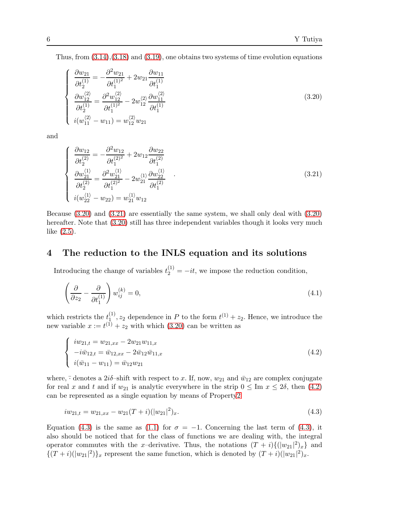Thus, from  $(3.14),(3.18)$  $(3.14),(3.18)$  and  $(3.19)$ , one obtains two systems of time evolution equations

<span id="page-5-0"></span>
$$
\begin{cases}\n\frac{\partial w_{21}}{\partial t_2^{(1)}} = -\frac{\partial^2 w_{21}}{\partial t_1^{(1)^2}} + 2w_{21} \frac{\partial w_{11}}{\partial t_1^{(1)}} \\
\frac{\partial w_{12}^{(2)}}{\partial t_2^{(1)}} = \frac{\partial^2 w_{12}^{(2)}}{\partial t_1^{(1)^2}} - 2w_{12}^{(2)} \frac{\partial w_{11}^{(2)}}{\partial t_1^{(1)}} \\
i(w_{11}^{(2)} - w_{11}) = w_{12}^{(2)} w_{21}\n\end{cases} (3.20)
$$

and

<span id="page-5-1"></span>
$$
\begin{cases}\n\frac{\partial w_{12}}{\partial t_2^{(2)}} = -\frac{\partial^2 w_{12}}{\partial t_1^{(2)^2}} + 2w_{12} \frac{\partial w_{22}}{\partial t_1^{(2)}} \\
\frac{\partial w_{21}^{(1)}}{\partial t_2^{(2)}} = \frac{\partial^2 w_{21}^{(1)}}{\partial t_1^{(2)^2}} - 2w_{21}^{(1)} \frac{\partial w_{22}^{(1)}}{\partial t_1^{(2)}} \\
i(w_{22}^{(1)} - w_{22}) = w_{21}^{(1)} w_{12}\n\end{cases} (3.21)
$$

Because [\(3.20\)](#page-5-0) and [\(3.21\)](#page-5-1) are essentially the same system, we shall only deal with [\(3.20\)](#page-5-0) hereafter. Note that [\(3.20\)](#page-5-0) still has three independent variables though it looks very much like [\(2.5\)](#page-2-0).

#### 4 The reduction to the INLS equation and its solutions

Introducing the change of variables  $t_2^{(1)} = -it$ , we impose the reduction condition,

$$
\left(\frac{\partial}{\partial z_2} - \frac{\partial}{\partial t_1^{(1)}}\right) w_{ij}^{(k)} = 0,
$$
\n(4.1)

which restricts the  $t_1^{(1)}$  $1, 2, 2$  dependence in P to the form  $t^{(1)} + z_2$ . Hence, we introduce the new variable  $x := t^{(1)} + z_2$  with which [\(3.20\)](#page-5-0) can be written as

<span id="page-5-2"></span>
$$
\begin{cases}\ni w_{21,t} = w_{21,xx} - 2w_{21}w_{11,x} \\
-i\bar{w}_{12,t} = \bar{w}_{12,xx} - 2\bar{w}_{12}\bar{w}_{11,x} \\
i(\bar{w}_{11} - w_{11}) = \bar{w}_{12}w_{21}\n\end{cases}
$$
\n(4.2)

where,  $\overline{\cdot}$  denotes a 2*i* $\delta$ -shift with respect to x. If, now,  $w_{21}$  and  $\overline{w}_{12}$  are complex conjugate for real x and t and if  $w_{21}$  is analytic everywhere in the strip  $0 \leq \text{Im } x \leq 2\delta$ , then [\(4.2\)](#page-5-2) can be represented as a single equation by means of Propert[y2](#page-2-2)

<span id="page-5-3"></span>
$$
iw_{21,t} = w_{21,xx} - w_{21}(T+i)(|w_{21}|^2)_x.
$$
\n(4.3)

Equation [\(4.3\)](#page-5-3) is the same as [\(1.1\)](#page-0-0) for  $\sigma = -1$ . Concerning the last term of (4.3), it also should be noticed that for the class of functions we are dealing with, the integral operator commutes with the x-derivative. Thus, the notations  $(T + i){\{(|w_{21}|^2)_x\}}$  and  $\{(T+i)(|w_{21}|^2)\}_x$  represent the same function, which is denoted by  $(T+i)(|w_{21}|^2)_x$ .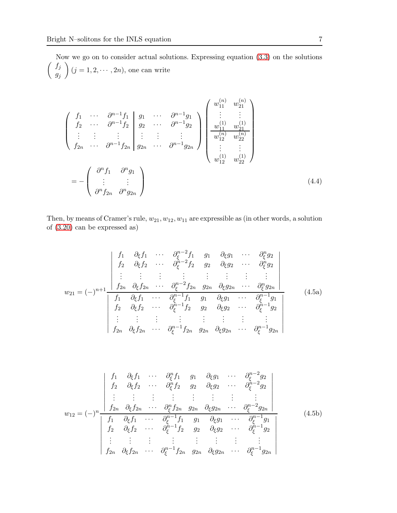Now we go on to consider actual solutions. Expressing equation [\(3.3\)](#page-3-0) on the solutions  $\int f_j$  $g_j$  $\Bigg)$   $(j = 1, 2, \cdots, 2n)$ , one can write

$$
\begin{pmatrix}\nf_1 & \cdots & \partial^{n-1} f_1 \\
f_2 & \cdots & \partial^{n-1} f_2 \\
\vdots & \vdots & \vdots \\
f_{2n} & \cdots & \partial^{n-1} f_{2n} \\
\vdots & \vdots & \vdots \\
f_{2n} & \cdots & \partial^{n-1} f_{2n}\n\end{pmatrix}\n\begin{pmatrix}\nw_{11}^{(n)} & w_{21}^{(n)} \\
\vdots & \vdots \\
w_{11}^{(1)} & w_{21}^{(1)} \\
\vdots & \vdots \\
w_{12}^{(n)} & w_{22}^{(n)} \\
\vdots & \vdots \\
w_{12}^{(1)} & w_{22}^{(1)}\n\end{pmatrix}
$$
\n
$$
= -\begin{pmatrix}\n\partial^n f_1 & \partial^n g_1 \\
\vdots & \vdots \\
\partial^n f_{2n} & \partial^n g_{2n}\n\end{pmatrix}
$$
\n(4.4)

Then, by means of Cramer's rule,  $w_{21}, w_{12}, w_{11}$  are expressible as (in other words, a solution of [\(3.20\)](#page-5-0) can be expressed as)

<span id="page-6-0"></span>
$$
w_{21} = (-)^{n+1} \frac{\begin{vmatrix} f_1 & \partial_{\xi} f_1 & \cdots & \partial_{\xi}^{n-2} f_1 & g_1 & \partial_{\xi} g_1 & \cdots & \partial_{\xi}^n g_2 \\ f_2 & \partial_{\xi} f_2 & \cdots & \partial_{\xi}^{n-2} f_2 & g_2 & \partial_{\xi} g_2 & \cdots & \partial_{\xi}^n g_2 \\ \vdots & \vdots & \vdots & \vdots & \vdots & \vdots & \vdots \\ f_{2n} & \partial_{\xi} f_{2n} & \cdots & \partial_{\xi}^{n-2} f_{2n} & g_{2n} & \partial_{\xi} g_{2n} & \cdots & \partial_{\xi}^n g_{2n} \\ f_1 & \partial_{\xi} f_1 & \cdots & \partial_{\xi}^{n-1} f_1 & g_1 & \partial_{\xi} g_1 & \cdots & \partial_{\xi}^{n-1} g_1 \\ f_2 & \partial_{\xi} f_2 & \cdots & \partial_{\xi}^{n-1} f_2 & g_2 & \partial_{\xi} g_2 & \cdots & \partial_{\xi}^{n-1} g_2 \\ \vdots & \vdots & \vdots & \vdots & \vdots & \vdots & \vdots \\ f_{2n} & \partial_{\xi} f_{2n} & \cdots & \partial_{\xi}^{n-1} f_{2n} & g_{2n} & \partial_{\xi} g_{2n} & \cdots & \partial_{\xi}^{n-1} g_{2n} \end{vmatrix} (4.5a)
$$

<span id="page-6-1"></span>
$$
w_{12} = (-)^n \begin{vmatrix} f_1 & \partial_{\xi} f_1 & \cdots & \partial_{\xi}^n f_1 & g_1 & \partial_{\xi} g_1 & \cdots & \partial_{\xi}^{n-2} g_2 \\ f_2 & \partial_{\xi} f_2 & \cdots & \partial_{\xi}^n f_2 & g_2 & \partial_{\xi} g_2 & \cdots & \partial_{\xi}^{n-2} g_2 \\ \vdots & \vdots & \vdots & \vdots & \vdots & \vdots & \vdots \\ f_{2n} & \partial_{\xi} f_{2n} & \cdots & \partial_{\xi}^n f_{2n} & g_{2n} & \partial_{\xi} g_{2n} & \cdots & \partial_{\xi}^{n-2} g_{2n} \\ f_1 & \partial_{\xi} f_1 & \cdots & \partial_{\xi}^{n-1} f_1 & g_1 & \partial_{\xi} g_1 & \cdots & \partial_{\xi}^{n-1} g_1 \\ f_2 & \partial_{\xi} f_2 & \cdots & \partial_{\xi}^{n-1} f_2 & g_2 & \partial_{\xi} g_2 & \cdots & \partial_{\xi}^{n-1} g_2 \\ \vdots & \vdots & \vdots & \vdots & \vdots & \vdots & \vdots \\ f_{2n} & \partial_{\xi} f_{2n} & \cdots & \partial_{\xi}^{n-1} f_{2n} & g_{2n} & \partial_{\xi} g_{2n} & \cdots & \partial_{\xi}^{n-1} g_{2n} \end{vmatrix}
$$
(4.5b)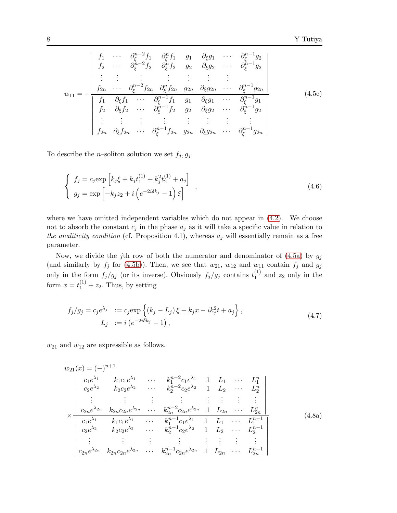$$
w_{11} = -\begin{vmatrix} f_1 & \cdots & \partial_{\xi}^{n-2} f_1 & \partial_{\xi}^{n} f_1 & g_1 & \partial_{\xi} g_1 & \cdots & \partial_{\xi}^{n-1} g_2 \\ f_2 & \cdots & \partial_{\xi}^{n-2} f_2 & \partial_{\xi}^{n} f_2 & g_2 & \partial_{\xi} g_2 & \cdots & \partial_{\xi}^{n-1} g_2 \\ \vdots & \vdots & \vdots & \vdots & \vdots & \vdots & \vdots \\ f_{2n} & \cdots & \partial_{\xi}^{n-2} f_{2n} & \partial_{\xi}^{n} f_{2n} & g_{2n} & \partial_{\xi} g_{2n} & \cdots & \partial_{\xi}^{n-1} g_2 \\ f_1 & \partial_{\xi} f_1 & \cdots & \partial_{\xi}^{n-1} f_1 & g_1 & \partial_{\xi} g_1 & \cdots & \partial_{\xi}^{n-1} g_1 \\ f_2 & \partial_{\xi} f_2 & \cdots & \partial_{\xi}^{n-1} f_2 & g_2 & \partial_{\xi} g_2 & \cdots & \partial_{\xi}^{n-1} g_2 \\ \vdots & \vdots & \vdots & \vdots & \vdots & \vdots & \vdots \\ f_{2n} & \partial_{\xi} f_{2n} & \cdots & \partial_{\xi}^{n-1} f_{2n} & g_{2n} & \partial_{\xi} g_{2n} & \cdots & \partial_{\xi}^{n-1} g_{2n} \end{vmatrix}
$$
\n(4.5c)

To describe the *n*-soliton solution we set  $f_j, g_j$ 

$$
\begin{cases}\nf_j = c_j \exp\left[k_j \xi + k_j t_1^{(1)} + k_j^2 t_2^{(1)} + a_j\right] \\
g_j = \exp\left[-k_j z_2 + i\left(e^{-2i\delta k_j} - 1\right)\xi\right]\n\end{cases} (4.6)
$$

where we have omitted independent variables which do not appear in  $(4.2)$ . We choose not to absorb the constant  $c_j$  in the phase  $a_j$  as it will take a specific value in relation to *the analiticity condition* (cf. Proposition 4.1), whereas  $a_j$  will essentially remain as a free parameter.

Now, we divide the jth row of both the numerator and denominator of  $(4.5a)$  by  $g_j$ (and similarly by  $f_j$  for [\(4.5b\)](#page-6-1)). Then, we see that  $w_{21}$ ,  $w_{12}$  and  $w_{11}$  contain  $f_j$  and  $g_j$ only in the form  $f_j/g_j$  (or its inverse). Obviously  $f_j/g_j$  contains  $t_1^{(1)}$  $1^{(1)}$  and  $z_2$  only in the form  $x = t_1^{(1)} + z_2$ . Thus, by setting

$$
f_j/g_j = c_j e^{\lambda_j} := c_j \exp\left\{ (k_j - L_j) \xi + k_j x - ik_j^2 t + a_j \right\},
$$
  
\n
$$
L_j := i \left( e^{-2i\delta k_j} - 1 \right),
$$
\n(4.7)

 $w_{21}$  and  $w_{12}$  are expressible as follows.

<span id="page-7-1"></span><span id="page-7-0"></span>
$$
w_{21}(x) = (-)^{n+1}
$$
\n
$$
\begin{vmatrix}\nc_1 e^{\lambda_1} & k_1 c_1 e^{\lambda_1} & \cdots & k_1^{n-2} c_1 e^{\lambda_1} & 1 & L_1 & \cdots & L_1^n \\
c_2 e^{\lambda_2} & k_2 c_2 e^{\lambda_2} & \cdots & k_2^{n-2} c_2 e^{\lambda_2} & 1 & L_2 & \cdots & L_2^n \\
\vdots & \vdots & \vdots & \vdots & \vdots & \vdots & \vdots \\
c_{2n} e^{\lambda_{2n}} & k_2 n c_{2n} e^{\lambda_{2n}} & \cdots & k_{2n}^{n-2} c_{2n} e^{\lambda_{2n}} & 1 & L_{2n} & \cdots & L_{2n}^n \\
c_2 e^{\lambda_2} & k_1 c_1 e^{\lambda_1} & \cdots & k_1^{n-1} c_1 e^{\lambda_1} & 1 & L_1 & \cdots & L_1^{n-1} \\
c_2 e^{\lambda_2} & k_2 c_2 e^{\lambda_2} & \cdots & k_2^{n-1} c_2 e^{\lambda_2} & 1 & L_2 & \cdots & L_2^{n-1} \\
\vdots & \vdots & \vdots & \vdots & \vdots & \vdots & \vdots \\
c_{2n} e^{\lambda_{2n}} & k_{2n} c_{2n} e^{\lambda_{2n}} & \cdots & k_{2n}^{n-1} c_{2n} e^{\lambda_{2n}} & 1 & L_{2n} & \cdots & L_{2n}^{n-1}\n\end{vmatrix}
$$
\n(4.8a)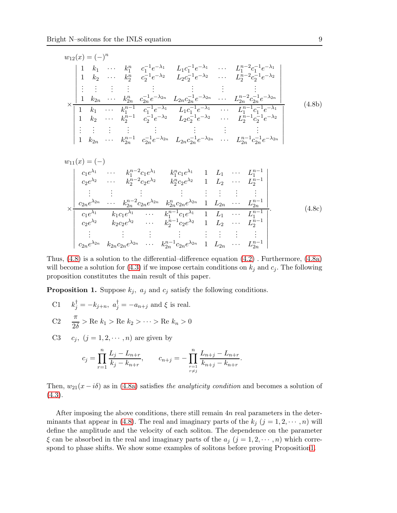<span id="page-8-1"></span>
$$
w_{12}(x) = (-)^n
$$
\n
$$
\begin{vmatrix}\n1 & k_1 & \cdots & k_1^n & c_1^{-1}e^{-\lambda_1} & L_1c_1^{-1}e^{-\lambda_1} & \cdots & L_1^{n-2}c_1^{-1}e^{-\lambda_1} \\
1 & k_2 & \cdots & k_2^n & c_2^{-1}e^{-\lambda_2} & L_2c_2^{-1}e^{-\lambda_2} & \cdots & L_2^{n-2}c_2^{-1}e^{-\lambda_2} \\
\vdots & \vdots & \vdots & \vdots & \vdots & \vdots & \vdots \\
1 & k_{2n} & \cdots & k_{2n}^n & c_{2n}^{-1}e^{-\lambda_{2n}} & L_{2n}c_{2n}^{-1}e^{-\lambda_{2n}} & \cdots & L_{2n}^{n-2}c_{2n}^{-1}e^{-\lambda_{2n}} \\
1 & k_1 & \cdots & k_1^{n-1} & c_1^{-1}e^{-\lambda_1} & L_1c_1^{-1}e^{-\lambda_1} & \cdots & L_1^{n-1}c_1^{-1}e^{-\lambda_1} \\
1 & k_2 & \cdots & k_2^{n-1} & c_2^{-1}e^{-\lambda_2} & L_2c_2^{-1}e^{-\lambda_2} & \cdots & L_2^{n-1}c_2^{-1}e^{-\lambda_2} \\
\vdots & \vdots & \vdots & \vdots & \vdots & \vdots & \vdots \\
1 & k_{2n} & \cdots & k_{2n}^{n-1} & c_{2n}^{-1}e^{-\lambda_{2n}} & L_{2n}c_{2n}^{-1}e^{-\lambda_{2n}} & \cdots & L_{2n}^{n-1}c_{2n}^{-1}e^{-\lambda_{2n}}\n\end{vmatrix}
$$
\n(4.8b)

$$
w_{11}(x) = (-)
$$
\n
$$
\begin{vmatrix}\nc_1 e^{\lambda_1} & \cdots & k_1^{n-2} c_1 e^{\lambda_1} & k_1^{n} c_1 e^{\lambda_1} & 1 & L_1 & \cdots & L_1^{n-1} \\
c_2 e^{\lambda_2} & \cdots & k_2^{n-2} c_2 e^{\lambda_2} & k_2^{n} c_2 e^{\lambda_2} & 1 & L_2 & \cdots & L_2^{n-1} \\
\vdots & \vdots & \vdots & \vdots & \vdots & \vdots & \vdots \\
c_{2n} e^{\lambda_{2n}} & \cdots & k_{2n}^{n-2} c_{2n} e^{\lambda_{2n}} & k_{2n}^{n} c_{2n} e^{\lambda_{2n}} & 1 & L_{2n} & \cdots & L_{2n}^{n-1} \\
c_1 e^{\lambda_1} & k_1 c_1 e^{\lambda_1} & \cdots & k_1^{n-1} c_1 e^{\lambda_1} & 1 & L_1 & \cdots & L_1^{n-1} \\
c_2 e^{\lambda_2} & k_2 c_2 e^{\lambda_2} & \cdots & k_2^{n-1} c_2 e^{\lambda_2} & 1 & L_2 & \cdots & L_2^{n-1} \\
\vdots & \vdots & \vdots & \vdots & \vdots & \vdots & \vdots \\
c_{2n} e^{\lambda_{2n}} & k_{2n} c_{2n} e^{\lambda_{2n}} & \cdots & k_{2n}^{n-1} c_{2n} e^{\lambda_{2n}} & 1 & L_{2n} & \cdots & L_{2n}^{n-1}\n\end{vmatrix}
$$
\n(4.8c)

Thus, [\(4.8\)](#page-7-0) is a solution to the differential–difference equation [\(4.2\)](#page-5-2) . Furthermore, [\(4.8a\)](#page-7-1) will become a solution for [\(4.3\)](#page-5-3) if we impose certain conditions on  $k_j$  and  $c_j$ . The following proposition constitutes the main result of this paper.

<span id="page-8-0"></span>**Proposition 1.** Suppose  $k_j$ ,  $a_j$  and  $c_j$  satisfy the following conditions.

- C1  $k_j^{\dagger} = -k_{j+n}, \; a_j^{\dagger} = -a_{n+j} \text{ and } \xi \text{ is real.}$
- C2  $\frac{\pi}{2\delta} > \text{Re } k_1 > \text{Re } k_2 > \cdots > \text{Re } k_n > 0$
- C3  $c_j$ ,  $(j = 1, 2, \dots, n)$  are given by

$$
c_j = \prod_{r=1}^n \frac{L_j - L_{n+r}}{k_j - k_{n+r}}, \qquad c_{n+j} = -\prod_{\substack{r=1 \ r \neq j}}^n \frac{L_{n+j} - L_{n+r}}{k_{n+j} - k_{n+r}}.
$$

Then,  $w_{21}(x - i\delta)$  as in [\(4.8a\)](#page-7-1) satisfies *the analyticity condition* and becomes a solution of  $(4.3).$  $(4.3).$ 

After imposing the above conditions, there still remain  $4n$  real parameters in the deter-minants that appear in [\(4.8\)](#page-7-0). The real and imaginary parts of the  $k_j$   $(j = 1, 2, \dots, n)$  will define the amplitude and the velocity of each soliton. The dependence on the parameter  $\xi$  can be absorbed in the real and imaginary parts of the  $a_j$   $(j = 1, 2, \dots, n)$  which correspond to phase shifts. We show some examples of solitons before proving Propositio[n1.](#page-8-0)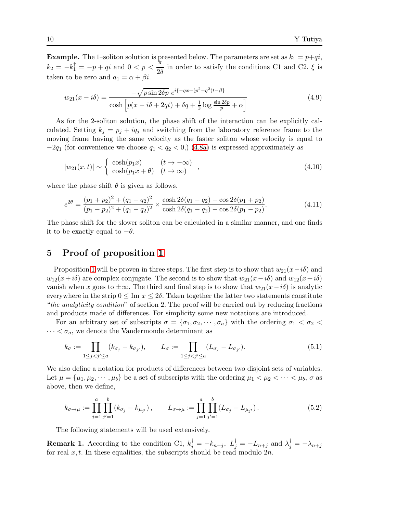**Example.** The 1–soliton solution is presented below. The parameters are set as  $k_1 = p+qi$ ,  $k_2 = -k_1^{\dagger} = -p + qi$  and  $0 < p < \frac{\pi}{2i}$  $\frac{\pi}{2\delta}$  in order to satisfy the conditions C1 and C2.  $\xi$  is taken to be zero and  $a_1 = \alpha + \beta i$ .

$$
w_{21}(x - i\delta) = \frac{-\sqrt{p \sin 2\delta p} \ e^{i\{-qx + (p^2 - q^2)t - \beta\}}}{\cosh \left[p(x - i\delta + 2qt) + \delta q + \frac{1}{2}\log\frac{\sin 2\delta p}{p} + \alpha\right]}
$$
(4.9)

As for the 2-soliton solution, the phase shift of the interaction can be explicitly calculated. Setting  $k_j = p_j + iq_j$  and switching from the laboratory reference frame to the moving frame having the same velocity as the faster soliton whose velocity is equal to  $-2q_1$  (for convenience we choose  $q_1 < q_2 < 0$ ,) [\(4.8a\)](#page-7-1) is expressed approximately as

$$
|w_{21}(x,t)| \sim \begin{cases} \cosh(p_1x) & (t \to -\infty) \\ \cosh(p_1x + \theta) & (t \to \infty) \end{cases} \tag{4.10}
$$

where the phase shift  $\theta$  is given as follows.

$$
e^{2\theta} = \frac{(p_1 + p_2)^2 + (q_1 - q_2)^2}{(p_1 - p_2)^2 + (q_1 - q_2)^2} \times \frac{\cosh 2\delta(q_1 - q_2) - \cos 2\delta(p_1 + p_2)}{\cosh 2\delta(q_1 - q_2) - \cos 2\delta(p_1 - p_2)}.
$$
(4.11)

The phase shift for the slower soliton can be calculated in a similar manner, and one finds it to be exactly equal to  $-\theta$ .

### 5 Proof of proposition [1](#page-8-0)

Proposition [1](#page-8-0) will be proven in three steps. The first step is to show that  $w_{21}(x-i\delta)$  and  $w_{12}(x+i\delta)$  are complex conjugate. The second is to show that  $w_{21}(x-i\delta)$  and  $w_{12}(x+i\delta)$ vanish when x goes to  $\pm \infty$ . The third and final step is to show that  $w_{21}(x-i\delta)$  is analytic everywhere in the strip  $0 \leq \text{Im } x \leq 2\delta$ . Taken together the latter two statements constitute "*the analyticity condition*" of section 2. The proof will be carried out by reducing fractions and products made of differences. For simplicity some new notations are introduced.

For an arbitrary set of subscripts  $\sigma = {\sigma_1, \sigma_2, \cdots, \sigma_a}$  with the ordering  $\sigma_1 < \sigma_2 <$  $\cdots < \sigma_a$ , we denote the Vandermonde determinant as

$$
k_{\sigma} := \prod_{1 \leq j < j' \leq a} (k_{\sigma_j} - k_{\sigma_{j'}}), \qquad L_{\sigma} := \prod_{1 \leq j < j' \leq a} (L_{\sigma_j} - L_{\sigma_{j'}}). \tag{5.1}
$$

We also define a notation for products of differences between two disjoint sets of variables. Let  $\mu = {\mu_1, \mu_2, \cdots, \mu_b}$  be a set of subscripts with the ordering  $\mu_1 < \mu_2 < \cdots < \mu_b, \sigma$  as above, then we define,

$$
k_{\sigma \to \mu} := \prod_{j=1}^{a} \prod_{j'=1}^{b} (k_{\sigma_j} - k_{\mu_{j'}}), \qquad L_{\sigma \to \mu} := \prod_{j=1}^{a} \prod_{j'=1}^{b} (L_{\sigma_j} - L_{\mu_{j'}}).
$$
 (5.2)

The following statements will be used extensively.

**Remark 1.** According to the condition C1,  $k_j^{\dagger} = -k_{n+j}$ ,  $L_j^{\dagger} = -L_{n+j}$  and  $\lambda_j^{\dagger} = -\lambda_{n+j}$ for real  $x, t$ . In these equalities, the subscripts should be read modulo  $2n$ .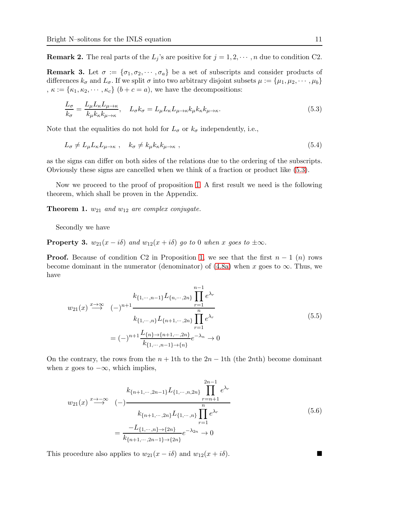**Remark 2.** The real parts of the  $L_j$ 's are positive for  $j = 1, 2, \dots, n$  due to condition C2.

**Remark 3.** Let  $\sigma := {\sigma_1, \sigma_2, \cdots, \sigma_a}$  be a set of subscripts and consider products of differences  $k_{\sigma}$  and  $L_{\sigma}$ . If we split  $\sigma$  into two arbitrary disjoint subsets  $\mu := {\mu_1, \mu_2, \cdots, \mu_b}$ ,  $\kappa := {\kappa_1, \kappa_2, \cdots, \kappa_c}$   $(b+c=a)$ , we have the decompositions:

<span id="page-10-0"></span>
$$
\frac{L_{\sigma}}{k_{\sigma}} = \frac{L_{\mu}L_{\kappa}L_{\mu \to \kappa}}{k_{\mu}k_{\kappa}k_{\mu \to \kappa}}, \quad L_{\sigma}k_{\sigma} = L_{\mu}L_{\kappa}L_{\mu \to \kappa}k_{\mu}k_{\kappa}k_{\mu \to \kappa}.
$$
\n(5.3)

Note that the equalities do not hold for  $L_{\sigma}$  or  $k_{\sigma}$  independently, i.e.,

$$
L_{\sigma} \neq L_{\mu} L_{\kappa} L_{\mu \to \kappa} , \quad k_{\sigma} \neq k_{\mu} k_{\kappa} k_{\mu \to \kappa} , \tag{5.4}
$$

as the signs can differ on both sides of the relations due to the ordering of the subscripts. Obviously these signs are cancelled when we think of a fraction or product like [\(5.3\)](#page-10-0).

Now we proceed to the proof of proposition [1.](#page-8-0) A first result we need is the following theorem, which shall be proven in the Appendix.

<span id="page-10-3"></span>Theorem 1. w<sup>21</sup> *and* w<sup>12</sup> *are complex conjugate.*

Secondly we have

**Property 3.**  $w_{21}(x - i\delta)$  and  $w_{12}(x + i\delta)$  go to 0 when x goes to  $\pm \infty$ .

**Proof.** Because of condition C2 in Proposition [1,](#page-8-0) we see that the first  $n-1$  (n) rows become dominant in the numerator (denominator) of  $(4.8a)$  when x goes to  $\infty$ . Thus, we have

$$
w_{21}(x) \stackrel{x \to \infty}{\longrightarrow} (-)^{n+1} \frac{k_{\{1, \cdots, n-1\}} L_{\{n, \cdots, 2n\}} \prod_{r=1}^{n-1} e^{\lambda_r}}{k_{\{1, \cdots, n\}} L_{\{n+1, \cdots, 2n\}} \prod_{r=1}^{n} e^{\lambda_r}}
$$
  
=  $(-)^{n+1} \frac{L_{\{n\} \to \{n+1, \cdots, 2n\}}}{k_{\{1, \cdots, n-1\} \to \{n\}}} e^{-\lambda_n} \to 0$  (5.5)

On the contrary, the rows from the  $n + 1$ th to the  $2n - 1$ th (the 2nth) become dominant when x goes to  $-\infty$ , which implies,

$$
w_{21}(x) \stackrel{x \to -\infty}{\longrightarrow} (-) \frac{k_{\{n+1, \cdots, 2n-1\}} L_{\{1, \cdots, n, 2n\}} \prod_{r=n+1}^{2n-1} e^{\lambda_r}}{k_{\{n+1, \cdots, 2n\}} L_{\{1, \cdots, n\}} \prod_{r=1}^{n} e^{\lambda_r}}
$$
  
= 
$$
\frac{-L_{\{1, \cdots, n\} \to \{2n\}}}{k_{\{n+1, \cdots, 2n-1\} \to \{2n\}}} e^{-\lambda_{2n}} \to 0
$$

$$
(5.6)
$$

This procedure also applies to  $w_{21}(x - i\delta)$  and  $w_{12}(x + i\delta)$ .

<span id="page-10-2"></span><span id="page-10-1"></span>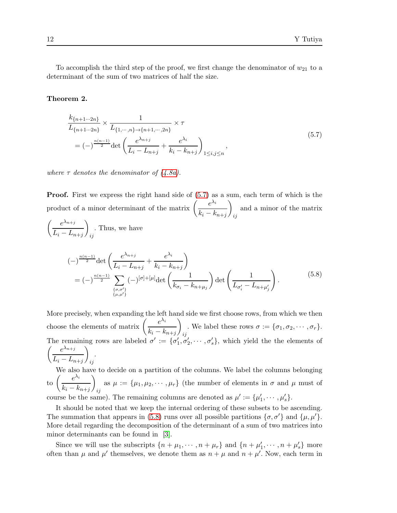To accomplish the third step of the proof, we first change the denominator of  $w_{21}$  to a determinant of the sum of two matrices of half the size.

#### <span id="page-11-2"></span>Theorem 2.

<span id="page-11-0"></span>
$$
\frac{k_{\{n+1\cdots 2n\}}}{L_{\{n+1\cdots 2n\}}} \times \frac{1}{L_{\{1,\cdots,n\}\to\{n+1,\cdots,2n\}}} \times \tau
$$
\n
$$
= (-)^{\frac{n(n-1)}{2}} \det \left( \frac{e^{\lambda_{n+j}}}{L_i - L_{n+j}} + \frac{e^{\lambda_i}}{k_i - k_{n+j}} \right)_{1 \le i,j \le n},
$$
\n(5.7)

*where*  $\tau$  *denotes the denominator of*  $(4.8a)$ *.* 

Proof. First we express the right hand side of  $(5.7)$  as a sum, each term of which is the product of a minor determinant of the matrix  $\left(\frac{e^{\lambda_i}}{1-e^{(\lambda_i)}}\right)$  $k_i - k_{n+j}$  $\setminus$ ij and a minor of the matrix

$$
\left(\frac{e^{\lambda_{n+j}}}{L_i - L_{n+j}}\right)_{ij}.
$$
 Thus, we have  
\n
$$
\left(-\right)^{\frac{n(n-1)}{2}} \det \left(\frac{e^{\lambda_{n+j}}}{L_i - L_{n+j}} + \frac{e^{\lambda_i}}{k_i - k_{n+j}}\right)
$$
\n
$$
= (-)^{\frac{n(n-1)}{2}} \sum_{\substack{\{\sigma,\sigma'\}\\{\{\mu,\mu'\}\}}}\n\left(-\right)^{|\sigma|+[\mu]} \det \left(\frac{1}{k_{\sigma_i} - k_{n+\mu_j}}\right) \det \left(\frac{1}{L_{\sigma'_i} - L_{n+\mu'_j}}\right).
$$
\n(5.8)

<span id="page-11-1"></span>More precisely, when expanding the left hand side we first choose rows, from which we then choose the elements of matrix  $\left(\frac{e^{\lambda_i}}{1-e^{(\lambda_i)}}\right)$  $k_i - k_{n+j}$  $\setminus$ . We label these rows  $\sigma := {\sigma_1, \sigma_2, \cdots, \sigma_r}.$ <br>ij The remaining rows are labeled  $\sigma' := {\{\sigma'_1, \sigma'_2, \cdots, \sigma'_s\}}$ , which yield the the elements of  $\int e^{\lambda_{n+j}}$  $L_i - L_{n+j}$  $\setminus$ ij .

We also have to decide on a partition of the columns. We label the columns belonging to  $\left(\frac{e^{\lambda_i}}{1-\lambda_i}\right)$  $k_i - k_{n+j}$  $\setminus$ as  $\mu := {\mu_1, \mu_2, \cdots, \mu_r}$  (the number of elements in  $\sigma$  and  $\mu$  must of  $i_j$ course be the same). The remaining columns are denoted as  $\mu' := {\mu'_1, \cdots, \mu'_s}$ .  $' \cdot - \mathfrak{c}'$ 

It should be noted that we keep the internal ordering of these subsets to be ascending. The summation that appears in [\(5.8\)](#page-11-1) runs over all possible partitions  $\{\sigma, \sigma'\}$  and  $\{\mu, \mu'\}$ . More detail regarding the decomposition of the determinant of a sum of two matrices into minor determinants can be found in [\[3\]](#page-18-11).

Since we will use the subscripts  $\{n + \mu_1, \dots, n + \mu_r\}$  and  $\{n + \mu'_1, \dots, n + \mu'_s\}$  more often than  $\mu$  and  $\mu'$  themselves, we denote them as  $n + \mu$  and  $n + \mu'$ . Now, each term in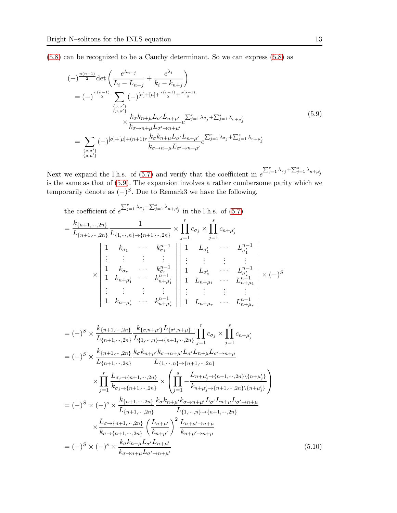[\(5.8\)](#page-11-1) can be recognized to be a Cauchy determinant. So we can express [\(5.8\)](#page-11-1) as

<span id="page-12-0"></span>
$$
(-)^{\frac{n(n-1)}{2}} \det \left( \frac{e^{\lambda_{n+j}}}{L_i - L_{n+j}} + \frac{e^{\lambda_i}}{k_i - k_{n+j}} \right)
$$
  
\n
$$
= (-)^{\frac{n(n-1)}{2}} \sum_{\substack{\{\sigma, \sigma'\} \\ \{\mu, \mu'\} \\ \kappa_{\sigma \to n+\mu} L_{\sigma'} L_{n+\mu'}}} (-)^{[\sigma] + [\mu] + \frac{r(r-1)}{2} + \frac{s(s-1)}{2}]}
$$
  
\n
$$
\times \frac{k_{\sigma} k_{n+\mu} L_{\sigma'} L_{n+\mu'}}{k_{\sigma \to n+\mu} L_{\sigma' \to n+\mu'}} e^{\sum_{j=1}^{r} \lambda_{\sigma_j} + \sum_{j=1}^{s} \lambda_{n+\mu'_j}}
$$
  
\n
$$
= \sum_{\substack{\{\sigma, \sigma'\} \\ \{\mu, \mu'\}}} (-)^{[\sigma] + [\mu] + (n+1)r} \frac{k_{\sigma} k_{n+\mu} L_{\sigma'} L_{n+\mu'}}{k_{\sigma \to n+\mu} L_{\sigma' \to n+\mu'}} e^{\sum_{j=1}^{r} \lambda_{\sigma_j} + \sum_{j=1}^{s} \lambda_{n+\mu'_j}}
$$
  
\n
$$
\{L_{n,\mu'}\} (5.9)
$$

Next we expand the l.h.s. of [\(5.7\)](#page-11-0) and verify that the coefficient in  $e^{\sum_{j=1}^{r} \lambda_{\sigma_j} + \sum_{j=1}^{s} \lambda_{n+\mu'_j}}$ is the same as that of [\(5.9\)](#page-12-0). The expansion involves a rather cumbersome parity which we temporarily denote as  $(-)^S$ . Due to Remark3 we have the following.

the coefficient of 
$$
e^{\sum_{j=1}^{r} \lambda_{\sigma_j} + \sum_{j=1}^{s} \lambda_{n+\mu'_j}}
$$
 in the l.h.s. of (5.7)  
\n
$$
= \frac{k_{\{n+1,\dots,2n\}}}{L_{\{n+1,\dots,2n\}} L_{\{1,\dots,n\} \to \{n+1,\dots,2n\}}} \times \prod_{j=1}^{r} c_{\sigma_j} \times \prod_{j=1}^{s} c_{n+\mu'_j}
$$
\n
$$
\downarrow \qquad \qquad \downarrow \qquad \downarrow \qquad \downarrow \qquad \downarrow \qquad \downarrow \qquad \downarrow \qquad \downarrow \qquad \downarrow \qquad \downarrow \qquad \downarrow \qquad \downarrow \qquad \downarrow \qquad \downarrow \qquad \downarrow \qquad \downarrow \qquad \downarrow \qquad \downarrow \qquad \downarrow \qquad \downarrow \qquad \downarrow \qquad \downarrow \qquad \downarrow \qquad \downarrow \qquad \downarrow \qquad \downarrow \qquad \downarrow \qquad \downarrow \qquad \downarrow \qquad \downarrow \qquad \downarrow \qquad \downarrow \qquad \downarrow \qquad \downarrow \qquad \downarrow \qquad \downarrow \qquad \downarrow \qquad \downarrow \qquad \downarrow \qquad \downarrow \qquad \downarrow \qquad \downarrow \qquad \downarrow \qquad \downarrow \qquad \downarrow \qquad \downarrow \qquad \downarrow \qquad \downarrow \qquad \downarrow \qquad \downarrow \qquad \downarrow \qquad \downarrow \qquad \downarrow \qquad \downarrow \qquad \downarrow \qquad \downarrow \qquad \downarrow \qquad \downarrow \qquad \downarrow \qquad \downarrow \qquad \downarrow \qquad \downarrow \qquad \downarrow \qquad \downarrow \qquad \downarrow \qquad \downarrow \qquad \downarrow \qquad \downarrow \qquad \downarrow \qquad \downarrow \qquad \downarrow \qquad \downarrow \qquad \downarrow \qquad \downarrow \qquad \downarrow \qquad \downarrow \qquad \downarrow \qquad \downarrow \qquad \downarrow \qquad \downarrow \qquad \downarrow \qquad \downarrow \qquad \downarrow \qquad \downarrow \qquad \downarrow \qquad \downarrow \qquad \downarrow \qquad \downarrow \qquad \downarrow \qquad \downarrow \qquad \downarrow \qquad \downarrow \qquad \downarrow \qquad \downarrow \qquad \downarrow \qquad \downarrow \qquad \downarrow \qquad \downarrow \qquad \downarrow \q
$$

<span id="page-12-1"></span>
$$
= (-)^{S} \times \frac{k_{\{n+1,\cdots,2n\}}}{L_{\{n+1,\cdots,2n\}}} \frac{k_{\{\sigma,n+\mu'\}}L_{\{\sigma',n+\mu\}}}{L_{\{1,\cdots,n\}\to\{n+1,\cdots,2n\}}} \prod_{j=1}^{r} c_{\sigma_{j}} \times \prod_{j=1}^{s} c_{n+\mu'_{j}}
$$
  
\n
$$
= (-)^{S} \times \frac{k_{\{n+1,\cdots,2n\}}}{L_{\{n+1,\cdots,2n\}}} \frac{k_{\sigma}k_{n+\mu'}k_{\sigma\to n+\mu'}L_{\sigma'}L_{n+\mu}L_{\sigma'\to n+\mu}}{L_{\{1,\cdots,n\}\to\{n+1,\cdots,2n\}}} \times \prod_{j=1}^{r} \frac{L_{\sigma_{j}\to\{n+1,\cdots,2n\}}}{k_{\sigma_{j}\to\{n+1,\cdots,2n\}}} \times \left(\prod_{j=1}^{s} -\frac{L_{n+\mu'_{j}\to\{n+1,\cdots,2n\}\}\{n+\mu'_{j}\}}{k_{n+\mu'_{j}\to\{n+1,\cdots,2n\}\}\{n+\mu'_{j}\}}}\right)
$$
  
\n
$$
= (-)^{S} \times (-)^{s} \times \frac{k_{\{n+1,\cdots,2n\}}}{L_{\{n+1,\cdots,2n\}}} \frac{k_{\sigma}k_{n+\mu'}k_{\sigma\to n+\mu'}L_{\sigma'}L_{n+\mu}L_{\sigma'\to n+\mu}}{L_{\{1,\cdots,n\}\to\{n+1,\cdots,2n\}}} \times \frac{L_{\sigma\to\{n+1,\cdots,2n\}}}{k_{\sigma\to\{n+1,\cdots,2n\}}} \left(\frac{L_{n+\mu'}}{k_{n+\mu'}}\right)^{2} \frac{L_{n+\mu'\to n+\mu}}{k_{n+\mu'\to n+\mu}}
$$
  
\n
$$
= (-)^{S} \times (-)^{s} \times \frac{k_{\sigma}k_{n+\mu}L_{\sigma'}L_{n+\mu'}}{k_{\sigma\to n+\mu}L_{\sigma'\to n+\mu'}} \tag{5.10}
$$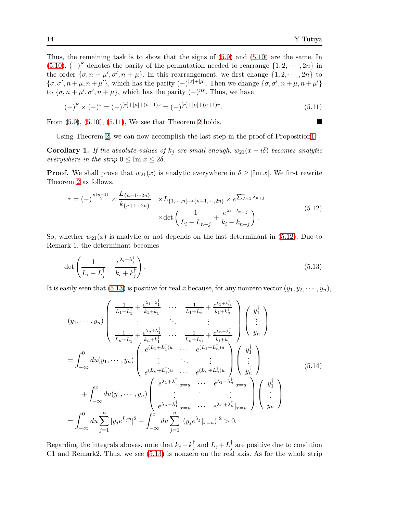Thus, the remaining task is to show that the signs of [\(5.9\)](#page-12-0) and [\(5.10\)](#page-12-1) are the same. In [\(5.10\)](#page-12-1),  $(-)^S$  denotes the parity of the permutation needed to rearrange  $\{1, 2, \dots, 2n\}$  in the order  $\{\sigma, n + \mu', \sigma', n + \mu\}$ . In this rearrangement, we first change  $\{1, 2, \cdots, 2n\}$  to  $\{\sigma, \sigma', n+\mu, n+\mu'\}$ , which has the parity  $(-)^{[\sigma]+[\mu]}$ . Then we change  $\{\sigma, \sigma', n+\mu, n+\mu'\}$ to  $\{\sigma, n + \mu', \sigma', n + \mu\}$ , which has the parity  $(-)^{ns}$ . Thus, we have

<span id="page-13-0"></span>
$$
(-)^{S} \times (-)^{s} = (-)^{[\sigma]+[\mu]+(n+1)s} = (-)^{[\sigma]+[\mu]+(n+1)r}.
$$
\n(5.11)

From  $(5.9)$ ,  $(5.10)$ ,  $(5.11)$ , We see that Theorem [2](#page-11-2) holds.

Using Theorem [2,](#page-11-2) we can now accomplish the last step in the proof of Propositio[n1](#page-8-0)

Corollary 1. *If the absolute values of*  $k_j$  *are small enough,*  $w_{21}(x - i\delta)$  *becomes analytic everywhere in the strip*  $0 \leq \text{Im } x \leq 2\delta$ .

**Proof.** We shall prove that  $w_{21}(x)$  is analytic everywhere in  $\delta \geq |\text{Im } x|$ . We first rewrite Theorem [2](#page-11-2) as follows.

<span id="page-13-1"></span>
$$
\tau = (-)^{\frac{n(n-1)}{2}} \times \frac{L_{\{n+1\cdots 2n\}}}{k_{\{n+1\cdots 2n\}}} \times L_{\{1,\cdots,n\} \to \{n+1,\cdots,2n\}} \times e^{\sum_{j=1}^{n} \lambda_{n+j}} \times \det\left(\frac{1}{L_i - L_{n+j}} + \frac{e^{\lambda_i - \lambda_{n+j}}}{k_i - k_{n+j}}\right).
$$
\n(5.12)

So, whether  $w_{21}(x)$  is analytic or not depends on the last determinant in [\(5.12\)](#page-13-1). Due to Remark 1, the determinant becomes

<span id="page-13-2"></span>
$$
\det\left(\frac{1}{L_i + L_j^{\dagger}} + \frac{e^{\lambda_i + \lambda_j^{\dagger}}}{k_i + k_j^{\dagger}}\right). \tag{5.13}
$$

It is easily seen that [\(5.13\)](#page-13-2) is positive for real x because, for any nonzero vector  $(y_1, y_2, \dots, y_n)$ ,

$$
(y_{1}, \dots, y_{n})\begin{pmatrix} \frac{1}{L_{1}+L_{1}^{\dagger}} + \frac{e^{\lambda_{1}+\lambda_{1}^{\dagger}}}{k_{1}+k_{1}^{\dagger}} & \cdots & \frac{1}{L_{1}+L_{n}^{\dagger}} + \frac{e^{\lambda_{1}+\lambda_{n}^{\dagger}}}{k_{1}+k_{n}^{\dagger}} \\ \vdots & \ddots & \vdots \\ \frac{1}{L_{n}+L_{1}^{\dagger}} + \frac{e^{\lambda_{n}+\lambda_{1}^{\dagger}}}{k_{n}+k_{1}^{\dagger}} & \cdots & \frac{1}{L_{n}+L_{n}^{\dagger}} + \frac{e^{\lambda_{n}+\lambda_{n}^{\dagger}}}{k_{n}+k_{1}^{\dagger}} \end{pmatrix} \begin{pmatrix} y_{1}^{\dagger} \\ \vdots \\ y_{n}^{\dagger} \end{pmatrix}
$$
  
\n
$$
= \int_{-\infty}^{0} du(y_{1}, \dots, y_{n}) \begin{pmatrix} e^{(L_{1}+L_{1}^{\dagger})u} & \cdots & e^{(L_{1}+L_{n}^{\dagger})u} \\ \vdots & \ddots & \vdots \\ e^{(L_{n}+L_{1}^{\dagger})u} & \cdots & e^{(\lambda_{1}+\lambda_{n}^{\dagger})u} \end{pmatrix} \begin{pmatrix} y_{1}^{\dagger} \\ \vdots \\ y_{n}^{\dagger} \end{pmatrix}
$$
  
\n
$$
+ \int_{-\infty}^{x} du(y_{1}, \dots, y_{n}) \begin{pmatrix} e^{\lambda_{1}+\lambda_{1}^{\dagger}} |_{x=u} & \cdots & e^{\lambda_{1}+\lambda_{n}^{\dagger}} |_{x=u} \\ \vdots & \ddots & \vdots \\ e^{\lambda_{n}+\lambda_{1}^{\dagger}} |_{x=u} & \cdots & e^{\lambda_{n}+\lambda_{n}^{\dagger}} |_{x=u} \end{pmatrix} \begin{pmatrix} y_{1}^{\dagger} \\ \vdots \\ y_{n}^{\dagger} \end{pmatrix}
$$
  
\n
$$
= \int_{-\infty}^{0} du \sum_{j=1}^{n} |y_{j}e^{L_{j}u}|^{2} + \int_{-\infty}^{x} du \sum_{j=1}^{n} |(y_{j}e^{\lambda_{j}}|_{
$$

Regarding the integrals aboves, note that  $k_j + k_j^{\dagger}$  $j$  and  $L_j + L_j^{\dagger}$  $j$  are positive due to condition C1 and Remark2. Thus, we see [\(5.13\)](#page-13-2) is nonzero on the real axis. As for the whole strip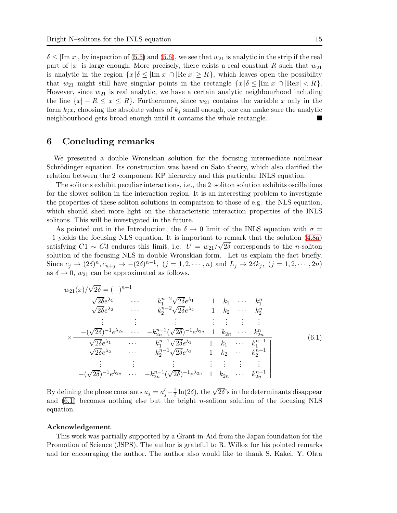$\delta \leq |\text{Im } x|$ , by inspection of [\(5.5\)](#page-10-1) and [\(5.6\)](#page-10-2), we see that  $w_{21}$  is analytic in the strip if the real part of |x| is large enough. More precisely, there exists a real constant R such that  $w_{21}$ is analytic in the region  $\{x \mid \delta \leq |\text{Im } x| \cap |\text{Re } x| \geq R\}$ , which leaves open the possibility that  $w_{21}$  might still have singular points in the rectangle  $\{x \mid \delta \leq |\text{Im } x| \cap |\text{Re } x| < R\}$ . However, since  $w_{21}$  is real analytic, we have a certain analytic neighbourhood including the line  $\{x \mid -R \leq x \leq R\}$ . Furthermore, since  $w_{21}$  contains the variable x only in the form  $k_jx$ , choosing the absolute values of  $k_j$  small enough, one can make sure the analytic neighbourhood gets broad enough until it contains the whole rectangle.

#### 6 Concluding remarks

We presented a double Wronskian solution for the focusing intermediate nonlinear Schrödinger equation. Its construction was based on Sato theory, which also clarified the relation between the 2–component KP hierarchy and this particular INLS equation.

The solitons exhibit peculiar interactions, i.e., the 2–soliton solution exhibits oscillations for the slower soliton in the interaction region. It is an interesting problem to investigate the properties of these soliton solutions in comparison to those of e.g. the NLS equation, which should shed more light on the characteristic interaction properties of the INLS solitons. This will be investigated in the future.

As pointed out in the Introduction, the  $\delta \to 0$  limit of the INLS equation with  $\sigma =$ −1 yields the focusing NLS equation. It is important to remark that the solution [\(4.8a\)](#page-7-1) satisfying  $C1 \sim C3$  endures this limit, i.e.  $U = w_{21}/\sqrt{2\delta}$  corresponds to the *n*-soliton solution of the focusing NLS in double Wronskian form. Let us explain the fact briefly. Since  $c_j \to (2\delta)^n, c_{n+j} \to -(2\delta)^{n-1}, (j = 1, 2, \cdots, n)$  and  $L_j \to 2\delta k_j, (j = 1, 2, \cdots, 2n)$ as  $\delta \to 0$ ,  $w_{21}$  can be approximated as follows.

<span id="page-14-0"></span>
$$
w_{21}(x)/\sqrt{2\delta} = (-)^{n+1}
$$
\n
$$
\sqrt{2\delta}e^{\lambda_1} \cdots k_1^{n-2}\sqrt{2\delta}e^{\lambda_1} 1 k_1 \cdots k_1^n
$$
\n
$$
\sqrt{2\delta}e^{\lambda_2} \cdots k_2^{n-2}\sqrt{2\delta}e^{\lambda_2} 1 k_2 \cdots k_2^n
$$
\n
$$
\vdots \qquad \vdots \qquad \vdots \qquad \vdots \qquad \vdots \qquad \vdots
$$
\n
$$
\times \frac{|-(\sqrt{2\delta})^{-1}e^{\lambda_{2n}} \cdots k_{2n}^{n-2}(\sqrt{2\delta})^{-1}e^{\lambda_{2n}} 1 k_{2n} \cdots k_{2n}^n|}{\sqrt{2\delta}e^{\lambda_1} \cdots k_1^{n-1}\sqrt{2\delta}e^{\lambda_1} 1 k_1 \cdots k_1^{n-1}}
$$
\n
$$
\downarrow \qquad \vdots \qquad \vdots \qquad \vdots \qquad \vdots \qquad \vdots \qquad \vdots \qquad \vdots \qquad \vdots \qquad \vdots \qquad \vdots \qquad \vdots \qquad \vdots \qquad \vdots \qquad \vdots \qquad \vdots \qquad \vdots \qquad \vdots \qquad \vdots \qquad \vdots \qquad \vdots \qquad \vdots \qquad \vdots \qquad \vdots \qquad \vdots \qquad \vdots \qquad \vdots \qquad \vdots \qquad \vdots \qquad \vdots \qquad \vdots \qquad \vdots \qquad \vdots \qquad \vdots \qquad \vdots \qquad \vdots \qquad \vdots \qquad \vdots \qquad \vdots \qquad \vdots \qquad \vdots \qquad \vdots \qquad \vdots \qquad \vdots \qquad \vdots \qquad \vdots \qquad \vdots \qquad \vdots \qquad \vdots \qquad \vdots \qquad \vdots \qquad \vdots \qquad \vdots \qquad \vdots \qquad \vdots \qquad \vdots \qquad \vdots \qquad \vdots \qquad \vdots \qquad \vdots \qquad \vdots \qquad \vdots \qquad \vdots \qquad \vdots \qquad \vdots \qquad \vdots \qquad \vdots \qquad \vdots \qquad \vdots \qquad \vdots \qquad \vdots \qquad \vdots \qquad \
$$

By defining the phase constants  $a_j = a'_j - \frac{1}{2}$  $\frac{1}{2}\ln(2\delta)$ , the  $\sqrt{2\delta}$ 's in the determinants disappear and [\(6.1\)](#page-14-0) becomes nothing else but the bright n-soliton solution of the focusing NLS equation.

#### Acknowledgement

This work was partially supported by a Grant-in-Aid from the Japan foundation for the Promotion of Science (JSPS). The author is grateful to R. Willox for his pointed remarks and for encouraging the author. The author also would like to thank S. Kakei, Y. Ohta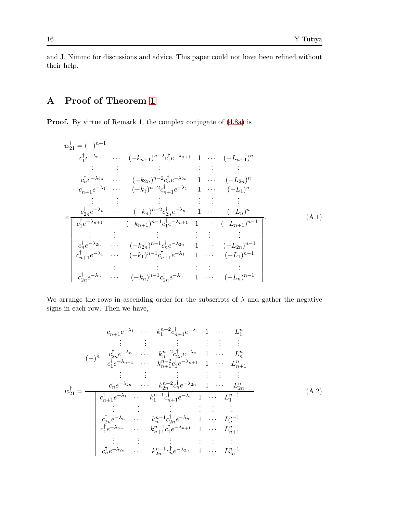and J. Nimmo for discussions and advice. This paper could not have been refined without their help.

# A Proof of Theorem [1](#page-10-3)

Proof. By virtue of Remark 1, the complex conjugate of  $(4.8a)$  is

$$
w_{21}^{\dagger} = (-)^{n+1}
$$
\n
$$
\begin{vmatrix}\nc_1^{\dagger}e^{-\lambda_{n+1}} & \cdots & (-k_{n+1})^{n-2}c_1^{\dagger}e^{-\lambda_{n+1}} & 1 & \cdots & (-L_{n+1})^n \\
\vdots & \vdots & \vdots & \vdots & \vdots & \vdots \\
c_n^{\dagger}e^{-\lambda_{2n}} & \cdots & (-k_{2n})^{n-2}c_n^{\dagger}e^{-\lambda_{2n}} & 1 & \cdots & (-L_{2n})^n \\
c_{n+1}^{\dagger}e^{-\lambda_1} & \cdots & (-k_1)^{n-2}c_{n+1}^{\dagger}e^{-\lambda_1} & 1 & \cdots & (-L_{1})^n \\
\vdots & \vdots & \vdots & \vdots & \vdots & \vdots \\
c_{2n}^{\dagger}e^{-\lambda_{n}} & \cdots & (-k_{n})^{n-2}c_{2n}^{\dagger}e^{-\lambda_{n}} & 1 & \cdots & (-L_{n})^n \\
c_1^{\dagger}e^{-\lambda_{n+1}} & \cdots & (-k_{n+1})^{n-1}c_1^{\dagger}e^{-\lambda_{n+1}} & 1 & \cdots & (-L_{n+1})^{n-1} \\
\vdots & \vdots & \vdots & \vdots & \vdots \\
c_n^{\dagger}e^{-\lambda_{2n}} & \cdots & (-k_{2n})^{n-1}c_n^{\dagger}e^{-\lambda_{2n}} & 1 & \cdots & (-L_{2n})^{n-1} \\
c_{n+1}^{\dagger}e^{-\lambda_1} & \cdots & (-k_1)^{n-1}c_{n+1}^{\dagger}e^{-\lambda_1} & 1 & \cdots & (-L_{1})^{n-1} \\
\vdots & \vdots & \vdots & \vdots & \vdots & \vdots \\
c_{2n}^{\dagger}e^{-\lambda_{n}} & \cdots & (-k_{n})^{n-1}c_{2n}^{\dagger}e^{-\lambda_{n}} & 1 & \cdots & (-L_{n})^{n-1}\n\end{vmatrix}
$$
\n(A.1)

We arrange the rows in ascending order for the subscripts of  $\lambda$  and gather the negative signs in each row. Then we have,

<span id="page-15-0"></span>
$$
w_{21}^{\dagger} = \begin{vmatrix} c_{n+1}^{\dagger} e^{-\lambda_1} & \cdots & k_1^{n-2} c_{n+1}^{\dagger} e^{-\lambda_1} & 1 & \cdots & L_1^n \\ c_{2n}^{\dagger} e^{-\lambda_n} & \cdots & k_n^{n-2} c_{2n}^{\dagger} e^{-\lambda_n} & 1 & \cdots & L_n^n \\ c_1^{\dagger} e^{-\lambda_{n+1}} & \cdots & k_{n+1}^{n-2} c_1^{\dagger} e^{-\lambda_{n+1}} & 1 & \cdots & L_{n+1}^n \\ \vdots & \vdots & \vdots & \vdots & \vdots & \vdots \\ c_n^{\dagger} e^{-\lambda_{2n}} & \cdots & k_2^{n-2} c_n^{\dagger} e^{-\lambda_{2n}} & 1 & \cdots & L_{2n}^n \\ c_{n+1}^{\dagger} e^{-\lambda_1} & \cdots & k_1^{n-1} c_{n+1}^{\dagger} e^{-\lambda_1} & 1 & \cdots & L_1^{n-1} \\ \vdots & \vdots & \vdots & \vdots & \vdots & \vdots \\ c_{2n}^{\dagger} e^{-\lambda_n} & \cdots & k_n^{n-1} c_{2n}^{\dagger} e^{-\lambda_n} & 1 & \cdots & L_n^{n-1} \\ c_1^{\dagger} e^{-\lambda_{n+1}} & \cdots & k_{n+1}^{n-1} c_1^{\dagger} e^{-\lambda_{n+1}} & 1 & \cdots & L_{n+1}^{n-1} \\ \vdots & \vdots & \vdots & \vdots & \vdots & \vdots \\ c_n^{\dagger} e^{-\lambda_{2n}} & \cdots & k_{2n}^{n-1} c_n^{\dagger} e^{-\lambda_{2n}} & 1 & \cdots & L_{2n}^{n-1} \end{vmatrix}
$$
\n(A.2)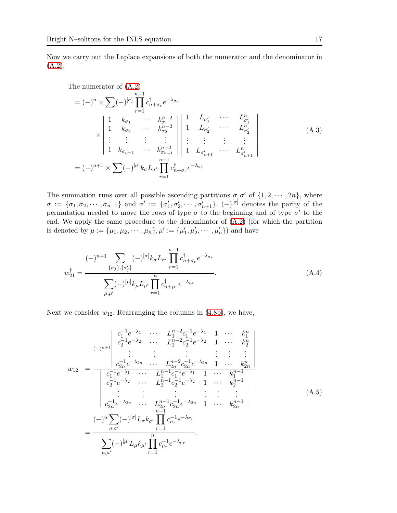Now we carry out the Laplace expansions of both the numerator and the denominator in  $(A.2).$  $(A.2).$ 

The numerator of (A.2)  
\n
$$
= (-)^{n} \times \sum (-)^{[\sigma]} \prod_{r=1}^{n-1} c_{n+\sigma_{r}}^{\dagger} e^{-\lambda_{\sigma_{r}}}
$$
\n
$$
\times \begin{vmatrix}\n1 & k_{\sigma_{1}} & \cdots & k_{\sigma_{1}}^{n-2} \\
1 & k_{\sigma_{2}} & \cdots & k_{\sigma_{2}}^{n-2} \\
\vdots & \vdots & \vdots & \vdots \\
1 & k_{\sigma_{n-1}} & \cdots & k_{\sigma_{n-1}}^{n-2}\n\end{vmatrix}\n\begin{vmatrix}\n1 & L_{\sigma'_{1}} & \cdots & L_{\sigma'_{1}}^{n} \\
1 & L_{\sigma'_{2}} & \cdots & L_{\sigma'_{2}}^{n} \\
\vdots & \vdots & \vdots & \vdots \\
1 & L_{\sigma'_{n+1}} & \cdots & L_{\sigma'_{n+1}}^{n}\n\end{vmatrix}
$$
\n(A.3)  
\n
$$
= (-)^{n+1} \times \sum (-)^{[\sigma]} k_{\sigma} L_{\sigma'} \prod_{r=1}^{n-1} c_{n+\sigma_{r}}^{\dagger} e^{-\lambda_{\sigma_{r}}}
$$

The summation runs over all possible ascending partitions  $\sigma, \sigma'$  of  $\{1, 2, \cdots, 2n\}$ , where  $\sigma := \{\sigma_1, \sigma_2, \cdots, \sigma_{n-1}\}\$ and  $\sigma' := \{\sigma'_1, \sigma'_2, \cdots, \sigma'_{n+1}\}\$ .  $(-)^{[\sigma]}$  denotes the parity of the permutation needed to move the rows of type  $\sigma$  to the beginning and of type  $\sigma'$  to the end. We apply the same procedure to the denominator of [\(A.2\)](#page-15-0) (for which the partition is denoted by  $\mu := {\mu_1, \mu_2, \cdots, \mu_n}, \mu' := {\mu'_1, \mu'_2, \cdots, \mu'_n}$  and have

<span id="page-16-0"></span>
$$
w_{21}^{\dagger} = \frac{(-)^{n+1} \sum_{\{\sigma_j\},\{\sigma'_j\}} (-)^{[\sigma]} k_{\sigma} L_{\sigma'} \prod_{r=1}^{n-1} c_{n+\sigma_r}^{\dagger} e^{-\lambda_{\sigma_r}}}{\sum_{\mu,\mu'} (-)^{[\mu]} k_{\mu} L_{\mu'} \prod_{r=1}^{n} c_{n+\mu_r}^{\dagger} e^{-\lambda_{\mu_r}}}
$$
\n(A.4)

Next we consider  $w_{12}$ . Rearranging the columns in  $(4.8b)$ , we have,

<span id="page-16-1"></span>
$$
w_{12} = \frac{\begin{vmatrix} c_1^{-1}e^{-\lambda_1} & \cdots & L_1^{n-2}c_1^{-1}e^{-\lambda_1} & 1 & \cdots & k_1^n \\ c_2^{-1}e^{-\lambda_2} & \cdots & L_2^{n-2}c_2^{-1}e^{-\lambda_2} & 1 & \cdots & k_2^n \\ \vdots & \vdots & \vdots & \vdots & \vdots & \vdots \\ c_{2n}^{-1}e^{-\lambda_{2n}} & \cdots & L_{2n}^{n-2}c_{2n}^{-1}e^{-\lambda_{2n}} & 1 & \cdots & k_{2n}^n \\ c_1^{-1}e^{-\lambda_1} & \cdots & L_1^{n-1}c_1^{-1}e^{-\lambda_1} & 1 & \cdots & k_{2n}^{n-1} \\ c_2^{-1}e^{-\lambda_2} & \cdots & L_2^{n-1}c_2^{-1}e^{-\lambda_2} & 1 & \cdots & k_2^{n-1} \\ \vdots & \vdots & \vdots & \vdots & \vdots & \vdots \\ c_{2n}^{-1}e^{-\lambda_{2n}} & \cdots & L_{2n}^{n-1}c_{2n}^{-1}e^{-\lambda_{2n}} & 1 & \cdots & k_{2n}^{n-1} \\ (-)^n \sum_{\sigma,\sigma'} (-)^{[\sigma]} L_{\sigma} k_{\sigma'} \prod_{r=1}^{n-1} c_{\sigma_r}^{-1} e^{-\lambda_{\sigma_r}} \\ = \frac{\begin{vmatrix} (-)^n \sum_{\sigma,\sigma'} (-)^{[\sigma]} L_{\sigma} k_{\sigma'} & \prod_{r=1}^{n-1} c_{\sigma_r}^{-1} e^{-\lambda_{\sigma_r}} \\ m_{\sigma} & m_{\sigma} & m_{\sigma} \end{vmatrix}}{\sum_{\mu,\mu'} (-)^{[\mu]} L_{\mu} k_{\mu'} \prod_{r=1}^{n} c_{\mu_r}^{-1} e^{-\lambda_{\mu_r}}}
$$
\n(A.5)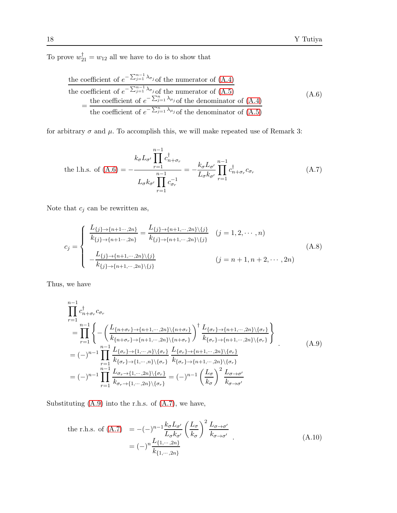To prove  $w_{21}^{\dagger} = w_{12}$  all we have to do is to show that

<span id="page-17-0"></span>the coefficient of 
$$
e^{-\sum_{j=1}^{n-1} \lambda_{\sigma_j}}
$$
 of the numerator of (A.4)  
the coefficient of  $e^{-\sum_{j=1}^{n-1} \lambda_{\sigma_j}}$  of the numerator of (A.5)  

$$
= \frac{\text{the coefficient of } e^{-\sum_{j=1}^{n} \lambda_{\mu_j}}}{\text{the coefficient of } e^{-\sum_{j=1}^{n} \lambda_{\mu_j}}
$$
 of the denominator of (A.5) (A.6)

for arbitrary  $\sigma$  and  $\mu$ . To accomplish this, we will make repeated use of Remark 3:

<span id="page-17-2"></span>the l.h.s. of (A.6) = 
$$
-\frac{k_{\sigma}L_{\sigma'}\prod_{r=1}^{n-1}c_{n+\sigma_{r}}^{\dagger}}{L_{\sigma}k_{\sigma'}\prod_{r=1}^{n-1}c_{\sigma_{r}}^{-1}} = -\frac{k_{\sigma}L_{\sigma'}}{L_{\sigma}k_{\sigma'}}\prod_{r=1}^{n-1}c_{n+\sigma_{r}}^{\dagger}c_{\sigma_{r}}
$$
(A.7)

Note that  $c_j$  can be rewritten as,

$$
c_{j} = \begin{cases} \frac{L_{\{j\} \to \{n+1 \cdots, 2n\}}}{k_{\{j\} \to \{n+1 \cdots, 2n\}}} = \frac{L_{\{j\} \to \{n+1, \cdots, 2n\} \setminus \{j\}}}{k_{\{j\} \to \{n+1, \cdots, 2n\} \setminus \{j\}}} & (j = 1, 2, \cdots, n) \\ -\frac{L_{\{j\} \to \{n+1, \cdots, 2n\} \setminus \{j\}}}{k_{\{j\} \to \{n+1, \cdots, 2n\} \setminus \{j\}}} & (j = n+1, n+2, \cdots, 2n) \end{cases}
$$
(A.8)

Thus, we have

<span id="page-17-1"></span>
$$
\prod_{r=1}^{n-1} c_{n+\sigma_r}^{\dagger} c_{\sigma_r} = \prod_{r=1}^{n-1} \left\{ - \left( \frac{L_{\{n+\sigma_r\} \to \{n+1, \cdots, 2n\} \setminus \{n+\sigma_r\}}}{k_{\{\sigma_r\} \to \{n+1, \cdots, 2n\} \setminus \{n+\sigma_r\}}} \right)^{\dagger} \frac{L_{\{\sigma_r\} \to \{n+1, \cdots, 2n\} \setminus \{\sigma_r\}}}{k_{\{\sigma_r\} \to \{n+1, \cdots, 2n\} \setminus \{\sigma_r\}}} \right\}
$$
\n
$$
= (-)^{n-1} \prod_{r=1}^{n-1} \frac{L_{\{\sigma_r\} \to \{1, \cdots, n\} \setminus \{\sigma_r\}}}{k_{\{\sigma_r\} \to \{n+1, \cdots, 2n\} \setminus \{\sigma_r\}}} \frac{L_{\{\sigma_r\} \to \{n+1, \cdots, 2n\} \setminus \{\sigma_r\}}}{k_{\{\sigma_r\} \to \{n+1, \cdots, 2n\} \setminus \{\sigma_r\}}} = (-)^{n-1} \prod_{r=1}^{n-1} \frac{L_{\sigma_r \to \{1, \cdots, n\} \setminus \{\sigma_r\}}}{k_{\sigma_r \to \{1, \cdots, 2n\} \setminus \{\sigma_r\}}} = (-)^{n-1} \left( \frac{L_{\sigma}}{k_{\sigma}} \right)^2 \frac{L_{\sigma \to \sigma'}}{k_{\sigma \to \sigma'}}
$$
\n(A.9)

Substituting [\(A.9\)](#page-17-1) into the r.h.s. of [\(A.7\)](#page-17-2), we have,

<span id="page-17-3"></span>the r.h.s. of (A.7) 
$$
= -(-)^{n-1} \frac{k_{\sigma} L_{\sigma'}}{L_{\sigma} k_{\sigma'}} \left(\frac{L_{\sigma}}{k_{\sigma}}\right)^2 \frac{L_{\sigma \to \sigma'}}{k_{\sigma \to \sigma'}}
$$

$$
= (-)^n \frac{L_{\{1, \cdots, 2n\}}}{k_{\{1, \cdots, 2n\}}}
$$
(A.10)